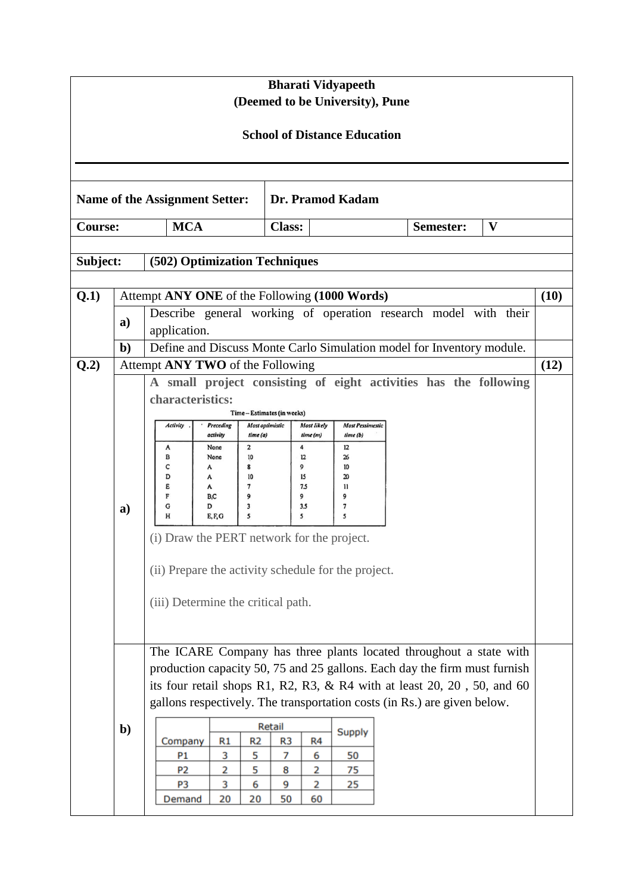| <b>Bharati Vidyapeeth</b><br>(Deemed to be University), Pune |                                                                                                                                                                                                                                                                                                                                                                                                                                                                                                                                                                          |                                                                                                                                                                                                                                                            |                                                                             |                                                                                       |                                                                  |                                                          |                                                                                              |           |                                                                       |  |      |  |
|--------------------------------------------------------------|--------------------------------------------------------------------------------------------------------------------------------------------------------------------------------------------------------------------------------------------------------------------------------------------------------------------------------------------------------------------------------------------------------------------------------------------------------------------------------------------------------------------------------------------------------------------------|------------------------------------------------------------------------------------------------------------------------------------------------------------------------------------------------------------------------------------------------------------|-----------------------------------------------------------------------------|---------------------------------------------------------------------------------------|------------------------------------------------------------------|----------------------------------------------------------|----------------------------------------------------------------------------------------------|-----------|-----------------------------------------------------------------------|--|------|--|
| <b>School of Distance Education</b>                          |                                                                                                                                                                                                                                                                                                                                                                                                                                                                                                                                                                          |                                                                                                                                                                                                                                                            |                                                                             |                                                                                       |                                                                  |                                                          |                                                                                              |           |                                                                       |  |      |  |
|                                                              |                                                                                                                                                                                                                                                                                                                                                                                                                                                                                                                                                                          |                                                                                                                                                                                                                                                            |                                                                             |                                                                                       |                                                                  |                                                          |                                                                                              |           |                                                                       |  |      |  |
| Dr. Pramod Kadam<br>Name of the Assignment Setter:           |                                                                                                                                                                                                                                                                                                                                                                                                                                                                                                                                                                          |                                                                                                                                                                                                                                                            |                                                                             |                                                                                       |                                                                  |                                                          |                                                                                              |           |                                                                       |  |      |  |
| <b>MCA</b><br><b>Course:</b>                                 |                                                                                                                                                                                                                                                                                                                                                                                                                                                                                                                                                                          |                                                                                                                                                                                                                                                            |                                                                             | <b>Class:</b>                                                                         |                                                                  |                                                          |                                                                                              | Semester: | V                                                                     |  |      |  |
| (502) Optimization Techniques<br>Subject:                    |                                                                                                                                                                                                                                                                                                                                                                                                                                                                                                                                                                          |                                                                                                                                                                                                                                                            |                                                                             |                                                                                       |                                                                  |                                                          |                                                                                              |           |                                                                       |  |      |  |
| Q.1)                                                         | Attempt ANY ONE of the Following (1000 Words)                                                                                                                                                                                                                                                                                                                                                                                                                                                                                                                            |                                                                                                                                                                                                                                                            |                                                                             |                                                                                       |                                                                  |                                                          |                                                                                              |           |                                                                       |  |      |  |
|                                                              | a)                                                                                                                                                                                                                                                                                                                                                                                                                                                                                                                                                                       | (10)<br>Describe general working of operation research model with their<br>application.                                                                                                                                                                    |                                                                             |                                                                                       |                                                                  |                                                          |                                                                                              |           |                                                                       |  |      |  |
|                                                              | $\mathbf{b}$                                                                                                                                                                                                                                                                                                                                                                                                                                                                                                                                                             |                                                                                                                                                                                                                                                            |                                                                             |                                                                                       |                                                                  |                                                          |                                                                                              |           | Define and Discuss Monte Carlo Simulation model for Inventory module. |  |      |  |
| Q.2)                                                         | a)                                                                                                                                                                                                                                                                                                                                                                                                                                                                                                                                                                       | Attempt ANY TWO of the Following<br>characteristics:<br><b>Activity</b><br>A<br>в<br>c<br>D<br>E<br>F<br>G<br>н<br>(i) Draw the PERT network for the project.<br>(ii) Prepare the activity schedule for the project.<br>(iii) Determine the critical path. | Preceding<br>activity<br>None<br>None<br>А<br>А<br>A<br>B,C<br>D<br>E, F, G | time (a)<br>$\overline{\mathbf{2}}$<br>10<br>8<br>10<br>$\overline{7}$<br>9<br>3<br>5 | Time-Estimates (in weeks)<br>Most optimistic<br>4<br>9<br>9<br>5 | <b>Most likely</b><br>time (m)<br>12<br>15<br>7.5<br>3.5 | <b>Most Pessimestic</b><br>time(b)<br>12<br>26<br>10<br>20<br>$\overline{11}$<br>9<br>7<br>5 |           | A small project consisting of eight activities has the following      |  | (12) |  |
|                                                              | The ICARE Company has three plants located throughout a state with<br>production capacity 50, 75 and 25 gallons. Each day the firm must furnish<br>its four retail shops R1, R2, R3, & R4 with at least $20$ , $20$ , $50$ , and $60$<br>gallons respectively. The transportation costs (in Rs.) are given below.<br>Retail<br>$b$<br><b>Supply</b><br>R1<br>R <sub>2</sub><br>Company<br>R <sub>3</sub><br>R4<br>3<br>5<br>50<br>P <sub>1</sub><br>6<br>7<br>5<br>P <sub>2</sub><br>2<br>75<br>8<br>2<br>3<br>6<br>9<br>2<br>P3<br>25<br>Demand<br>20<br>20<br>50<br>60 |                                                                                                                                                                                                                                                            |                                                                             |                                                                                       |                                                                  |                                                          |                                                                                              |           |                                                                       |  |      |  |